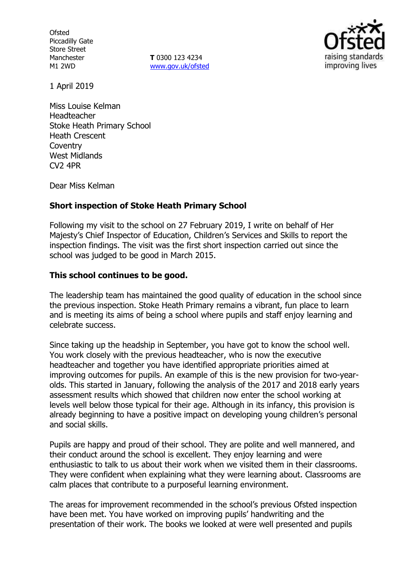**Ofsted** Piccadilly Gate Store Street Manchester M1 2WD

**T** 0300 123 4234 [www.gov.uk/ofsted](http://www.gov.uk/ofsted)



1 April 2019

Miss Louise Kelman Headteacher Stoke Heath Primary School Heath Crescent Coventry West Midlands CV2 4PR

Dear Miss Kelman

### **Short inspection of Stoke Heath Primary School**

Following my visit to the school on 27 February 2019, I write on behalf of Her Majesty's Chief Inspector of Education, Children's Services and Skills to report the inspection findings. The visit was the first short inspection carried out since the school was judged to be good in March 2015.

### **This school continues to be good.**

The leadership team has maintained the good quality of education in the school since the previous inspection. Stoke Heath Primary remains a vibrant, fun place to learn and is meeting its aims of being a school where pupils and staff enjoy learning and celebrate success.

Since taking up the headship in September, you have got to know the school well. You work closely with the previous headteacher, who is now the executive headteacher and together you have identified appropriate priorities aimed at improving outcomes for pupils. An example of this is the new provision for two-yearolds. This started in January, following the analysis of the 2017 and 2018 early years assessment results which showed that children now enter the school working at levels well below those typical for their age. Although in its infancy, this provision is already beginning to have a positive impact on developing young children's personal and social skills.

Pupils are happy and proud of their school. They are polite and well mannered, and their conduct around the school is excellent. They enjoy learning and were enthusiastic to talk to us about their work when we visited them in their classrooms. They were confident when explaining what they were learning about. Classrooms are calm places that contribute to a purposeful learning environment.

The areas for improvement recommended in the school's previous Ofsted inspection have been met. You have worked on improving pupils' handwriting and the presentation of their work. The books we looked at were well presented and pupils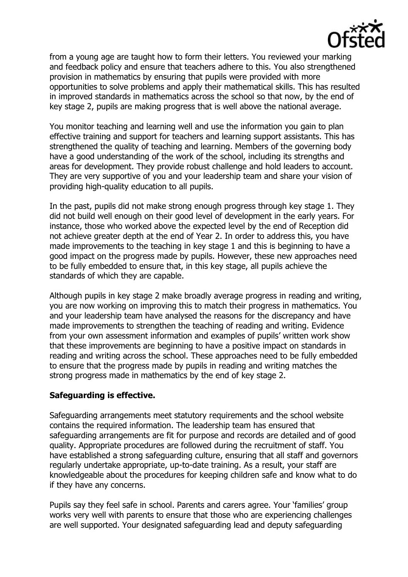

from a young age are taught how to form their letters. You reviewed your marking and feedback policy and ensure that teachers adhere to this. You also strengthened provision in mathematics by ensuring that pupils were provided with more opportunities to solve problems and apply their mathematical skills. This has resulted in improved standards in mathematics across the school so that now, by the end of key stage 2, pupils are making progress that is well above the national average.

You monitor teaching and learning well and use the information you gain to plan effective training and support for teachers and learning support assistants. This has strengthened the quality of teaching and learning. Members of the governing body have a good understanding of the work of the school, including its strengths and areas for development. They provide robust challenge and hold leaders to account. They are very supportive of you and your leadership team and share your vision of providing high-quality education to all pupils.

In the past, pupils did not make strong enough progress through key stage 1. They did not build well enough on their good level of development in the early years. For instance, those who worked above the expected level by the end of Reception did not achieve greater depth at the end of Year 2. In order to address this, you have made improvements to the teaching in key stage 1 and this is beginning to have a good impact on the progress made by pupils. However, these new approaches need to be fully embedded to ensure that, in this key stage, all pupils achieve the standards of which they are capable.

Although pupils in key stage 2 make broadly average progress in reading and writing, you are now working on improving this to match their progress in mathematics. You and your leadership team have analysed the reasons for the discrepancy and have made improvements to strengthen the teaching of reading and writing. Evidence from your own assessment information and examples of pupils' written work show that these improvements are beginning to have a positive impact on standards in reading and writing across the school. These approaches need to be fully embedded to ensure that the progress made by pupils in reading and writing matches the strong progress made in mathematics by the end of key stage 2.

# **Safeguarding is effective.**

Safeguarding arrangements meet statutory requirements and the school website contains the required information. The leadership team has ensured that safeguarding arrangements are fit for purpose and records are detailed and of good quality. Appropriate procedures are followed during the recruitment of staff. You have established a strong safeguarding culture, ensuring that all staff and governors regularly undertake appropriate, up-to-date training. As a result, your staff are knowledgeable about the procedures for keeping children safe and know what to do if they have any concerns.

Pupils say they feel safe in school. Parents and carers agree. Your 'families' group works very well with parents to ensure that those who are experiencing challenges are well supported. Your designated safeguarding lead and deputy safeguarding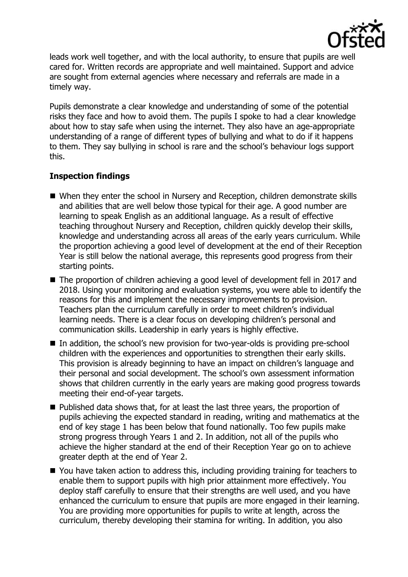

leads work well together, and with the local authority, to ensure that pupils are well cared for. Written records are appropriate and well maintained. Support and advice are sought from external agencies where necessary and referrals are made in a timely way.

Pupils demonstrate a clear knowledge and understanding of some of the potential risks they face and how to avoid them. The pupils I spoke to had a clear knowledge about how to stay safe when using the internet. They also have an age-appropriate understanding of a range of different types of bullying and what to do if it happens to them. They say bullying in school is rare and the school's behaviour logs support this.

# **Inspection findings**

- When they enter the school in Nursery and Reception, children demonstrate skills and abilities that are well below those typical for their age. A good number are learning to speak English as an additional language. As a result of effective teaching throughout Nursery and Reception, children quickly develop their skills, knowledge and understanding across all areas of the early years curriculum. While the proportion achieving a good level of development at the end of their Reception Year is still below the national average, this represents good progress from their starting points.
- The proportion of children achieving a good level of development fell in 2017 and 2018. Using your monitoring and evaluation systems, you were able to identify the reasons for this and implement the necessary improvements to provision. Teachers plan the curriculum carefully in order to meet children's individual learning needs. There is a clear focus on developing children's personal and communication skills. Leadership in early years is highly effective.
- In addition, the school's new provision for two-year-olds is providing pre-school children with the experiences and opportunities to strengthen their early skills. This provision is already beginning to have an impact on children's language and their personal and social development. The school's own assessment information shows that children currently in the early years are making good progress towards meeting their end-of-year targets.
- Published data shows that, for at least the last three years, the proportion of pupils achieving the expected standard in reading, writing and mathematics at the end of key stage 1 has been below that found nationally. Too few pupils make strong progress through Years 1 and 2. In addition, not all of the pupils who achieve the higher standard at the end of their Reception Year go on to achieve greater depth at the end of Year 2.
- You have taken action to address this, including providing training for teachers to enable them to support pupils with high prior attainment more effectively. You deploy staff carefully to ensure that their strengths are well used, and you have enhanced the curriculum to ensure that pupils are more engaged in their learning. You are providing more opportunities for pupils to write at length, across the curriculum, thereby developing their stamina for writing. In addition, you also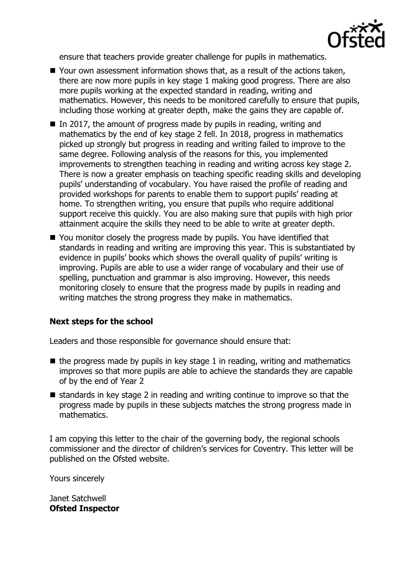

ensure that teachers provide greater challenge for pupils in mathematics.

- Your own assessment information shows that, as a result of the actions taken, there are now more pupils in key stage 1 making good progress. There are also more pupils working at the expected standard in reading, writing and mathematics. However, this needs to be monitored carefully to ensure that pupils, including those working at greater depth, make the gains they are capable of.
- $\blacksquare$  In 2017, the amount of progress made by pupils in reading, writing and mathematics by the end of key stage 2 fell. In 2018, progress in mathematics picked up strongly but progress in reading and writing failed to improve to the same degree. Following analysis of the reasons for this, you implemented improvements to strengthen teaching in reading and writing across key stage 2. There is now a greater emphasis on teaching specific reading skills and developing pupils' understanding of vocabulary. You have raised the profile of reading and provided workshops for parents to enable them to support pupils' reading at home. To strengthen writing, you ensure that pupils who require additional support receive this quickly. You are also making sure that pupils with high prior attainment acquire the skills they need to be able to write at greater depth.
- You monitor closely the progress made by pupils. You have identified that standards in reading and writing are improving this year. This is substantiated by evidence in pupils' books which shows the overall quality of pupils' writing is improving. Pupils are able to use a wider range of vocabulary and their use of spelling, punctuation and grammar is also improving. However, this needs monitoring closely to ensure that the progress made by pupils in reading and writing matches the strong progress they make in mathematics.

# **Next steps for the school**

Leaders and those responsible for governance should ensure that:

- $\blacksquare$  the progress made by pupils in key stage 1 in reading, writing and mathematics improves so that more pupils are able to achieve the standards they are capable of by the end of Year 2
- standards in key stage 2 in reading and writing continue to improve so that the progress made by pupils in these subjects matches the strong progress made in mathematics.

I am copying this letter to the chair of the governing body, the regional schools commissioner and the director of children's services for Coventry. This letter will be published on the Ofsted website.

Yours sincerely

Janet Satchwell **Ofsted Inspector**